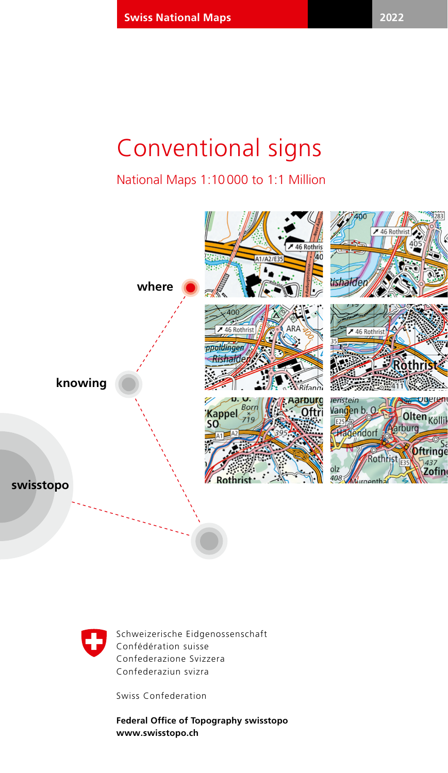## Conventional signs

National Maps 1:10 000 to 1:1 Million





Schweizerische Eidgenossenschaft Confédération suisse Confederazione Svizzera Confederaziun svizra

Swiss Confederation

**Federal Office of Topography swisstopo www.swisstopo.ch**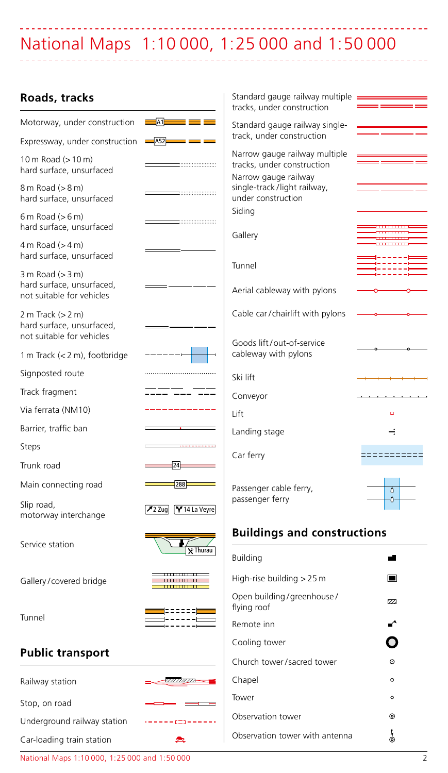### بالأباب National Maps 1:10 000, 1: 25 000 and 1: 50 000

### **Roads, tracks**

| Roads, tracks                                                                    |                                           | Standard gauge railway multiple<br>tracks, under construction                       |                                        |
|----------------------------------------------------------------------------------|-------------------------------------------|-------------------------------------------------------------------------------------|----------------------------------------|
| Motorway, under construction                                                     | A1<br>.                                   | Standard gauge railway single-                                                      |                                        |
| Expressway, under construction $\equiv$ $A52$                                    | ٠<br>٠                                    | track, under construction                                                           |                                        |
| 10 m Road (> 10 m)<br>hard surface, unsurfaced                                   | ,,,,,,,,,,,,,,,,,,,,                      | Narrow gauge railway multiple<br>tracks, under construction<br>Narrow gauge railway |                                        |
| 8 m Road (> 8 m)<br>hard surface, unsurfaced                                     |                                           | single-track/light railway,<br>under construction                                   |                                        |
| $6 m$ Road ( $> 6 m$ )<br>hard surface, unsurfaced                               |                                           | Siding<br>Gallery                                                                   | . <u>. .</u>                           |
| $4 m$ Road ( $> 4 m$ )<br>hard surface, unsurfaced                               |                                           |                                                                                     | <b><i><u>PERSONAL PROPERTY</u></i></b> |
| $3 m$ Road ( $> 3 m$ )<br>hard surface, unsurfaced,<br>not suitable for vehicles |                                           | Tunnel<br>Aerial cableway with pylons                                               |                                        |
| 2 m Track $(> 2 m)$<br>hard surface, unsurfaced,<br>not suitable for vehicles    |                                           | Cable car/chairlift with pylons                                                     |                                        |
| 1 m Track (< 2 m), footbridge                                                    |                                           | Goods lift/out-of-service<br>cableway with pylons                                   |                                        |
| Signposted route                                                                 |                                           | Ski lift                                                                            |                                        |
| Track fragment                                                                   |                                           | Conveyor                                                                            |                                        |
| Via ferrata (NM10)                                                               |                                           | Lift                                                                                | $\overline{a}$                         |
| Barrier, traffic ban                                                             |                                           | Landing stage                                                                       | ⊰                                      |
| Steps                                                                            |                                           |                                                                                     |                                        |
| Trunk road                                                                       | $\frac{1}{24}$                            | Car ferry                                                                           | 30000000000                            |
| Main connecting road                                                             | 288                                       | Passenger cable ferry,                                                              | $\overline{\delta}$                    |
| Slip road,<br>motorway interchange                                               | 72 Zug Y 14 La Veyre                      | passenger ferry                                                                     | ۰٥<br>w                                |
| Service station                                                                  |                                           | <b>Buildings and constructions</b>                                                  |                                        |
|                                                                                  | $\overline{\mathsf{X}}$ Thurau            | Building                                                                            | ۵                                      |
| Gallery/covered bridge                                                           | ---------<br>,,,,,,,,,,,,,<br>----------- | High-rise building > 25 m                                                           | စို့ ၀<br>$\blacksquare$               |
|                                                                                  |                                           | Open building/greenhouse/<br>flying roof                                            | $\overline{v}$                         |
| Tunnel                                                                           |                                           | Remote inn                                                                          |                                        |
|                                                                                  |                                           | Cooling tower                                                                       |                                        |
| <b>Public transport</b>                                                          |                                           | Church tower/sacred tower                                                           | $\odot$                                |
| Railway station                                                                  | <u> www.com – </u>                        | Chapel                                                                              | $\odot$                                |
| Stop, on road                                                                    |                                           | Tower                                                                               | $\circ$                                |
| Underground railway station                                                      | 000------                                 | Observation tower                                                                   | ⊚                                      |
| Car-loading train station                                                        |                                           | Observation tower with antenna                                                      | $\frac{1}{6}$                          |

National Maps 1:10 000, 1: 25 000 and 1: 50 000 2

 $\mathbb{R}^2$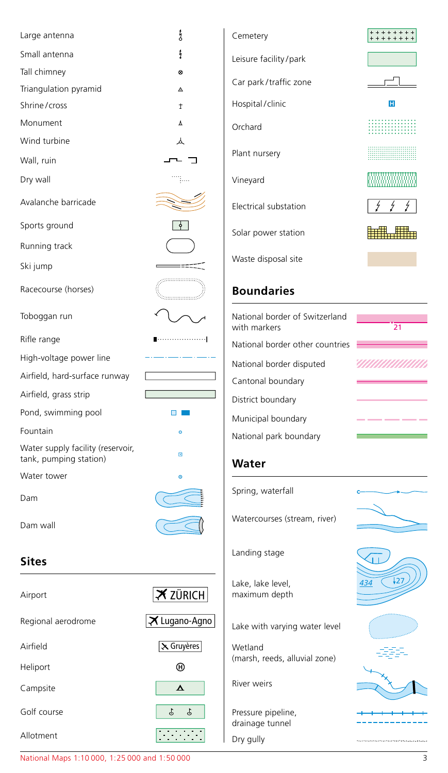| Large antenna                                               | ţ                                  | Cemetery                                      |
|-------------------------------------------------------------|------------------------------------|-----------------------------------------------|
| Small antenna                                               | ţ                                  | Leisure facility/park                         |
| Tall chimney                                                | 0                                  |                                               |
| Triangulation pyramid                                       | Δ                                  | Car park/traffic zone                         |
| Shrine/cross                                                | $\ddagger$                         | Hospital / clinic                             |
| Monument                                                    | Y                                  | Orchard                                       |
| Wind turbine                                                | 人                                  |                                               |
| Wall, ruin                                                  |                                    | Plant nursery                                 |
| Dry wall                                                    | mp.                                | Vineyard                                      |
| Avalanche barricade                                         |                                    | Electrical substation                         |
| Sports ground                                               |                                    | Solar power station                           |
| Running track                                               |                                    |                                               |
| Ski jump                                                    |                                    | Waste disposal site                           |
| Racecourse (horses)                                         | gaanaanaang,<br>أكسيسيسيسية        | <b>Boundaries</b>                             |
| Toboggan run                                                |                                    | National border of Switzerlan<br>with markers |
| Rifle range                                                 |                                    | National border other countri                 |
| High-voltage power line                                     |                                    | National border disputed                      |
| Airfield, hard-surface runway                               |                                    | Cantonal boundary                             |
| Airfield, grass strip                                       |                                    | District boundary                             |
| Pond, swimming pool                                         | $\Box$                             | Municipal boundary                            |
| Fountain                                                    | ó                                  | National park boundary                        |
| Water supply facility (reservoir,<br>tank, pumping station) | G                                  | Water                                         |
| Water tower                                                 | $\ddot{\circ}$                     |                                               |
| Dam                                                         |                                    | Spring, waterfall                             |
| Dam wall                                                    |                                    | Watercourses (stream, river)                  |
| Sites                                                       |                                    | Landing stage                                 |
| Airport                                                     | $\overline{\mathbf{X}}$ ZÜRICH     | Lake, lake level,<br>maximum depth            |
| Regional aerodrome                                          | $ \boldsymbol{\times}$ Lugano-Agno | Lake with varying water level                 |
| Airfield                                                    | X Gruyères                         | Wetland                                       |
| Heliport                                                    | ⊕                                  | (marsh, reeds, alluvial zone)                 |
| Campsite                                                    | ▵                                  | River weirs                                   |
| Golf course                                                 | J,<br>\$                           | Pressure pipeline,<br>drainage tunnel         |



++++++++

F  $\Gamma$ m. <u> ::::::::::::::</u>

<u>VIIIIIIIIIIIIIII</u> - -







--------

Dry gully

 $\overline{\phantom{a}}$ 

<u>rana a</u>

National Maps 1:10 000, 1: 25 000 and 1: 50 000 3

Allotment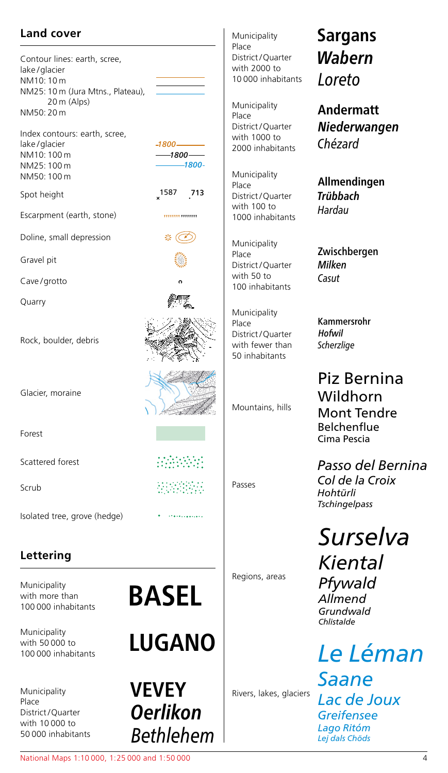### **Land cover**

Contour lines: earth, scree, lake / glacier NM10: 10 m NM25: 10 m (Jura Mtns., Plateau), 20 m (Alps) NM50: 20 m

Index contours: earth, scree, lake / glacier NM10: 100 m NM25: 100 m NM50: 100 m

 $-1800 -1800-$ 

 $-1800-$ 

............... \* (O)

Spot height 1587 713

Escarpment (earth, stone)

Doline, small depression

Gravel pit

Cave / grotto

Quarry

Rock, boulder, debris

Glacier, moraine

Forest

Scattered forest

Scrub

Isolated tree, grove (hedge)

### **Lettering**

Municipality with more than<br>100,000 inhabitants

Municipality with 50 000 to<br>100 000 inhabitants

Municipality Place District / Quarter with 10 000 to

100 000 inhabitants **BASEL**

AMANYA M 建筑的路线 

100 000 inhabitants **LUGANO**

50 000 inhabitants *Bethlehem* **Oerlikon VEVEY**

Municipality Place District / Quarter with 2000 to 10 000 inhabitants *Loreto*

Municipality Place District / Quarter with 1000 to 2000 inhabitants *Chézard*

Municipality Place District / Quarter with 100 to 1000 inhabitants *Hardau*

Municipality Place District / Quarter with 50 to 100 inhabitants

Municipality Place District / Quarter with fewer than 50 inhabitants

Mountains, hills

Passes

Regions, areas

Rivers, lakes, glaciers

## **Wabern Sargans**

**Niederwangen Andermatt**

**Trübbach Allmendingen**

*Casut* Milken Zwischbergen

*Scherzlige* **Hofwil** Kammersrohr

Piz Bernina Wildhorn Mont Tendre Belchenflue Cima Pescia

*Passo del Bernina*

*Col de la Croix Hohtürli Tschingelpass*

*Surselva Kiental*

*Pfywald Allmend Grundwald Chlistalde*

*Le Léman Saane Lac de Joux Greifensee Lago Ritóm Lej dals Chöds*

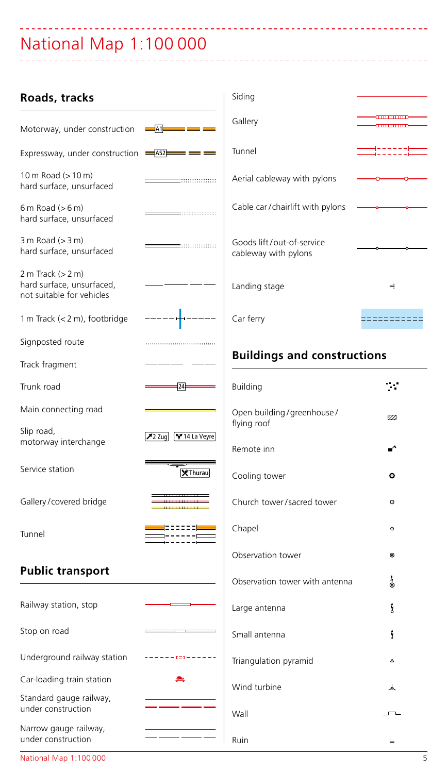# National Map 1:100 000

| Roads, tracks                                                                                                                                                                                                                                                                                |                                                              | Siding                                            |             |
|----------------------------------------------------------------------------------------------------------------------------------------------------------------------------------------------------------------------------------------------------------------------------------------------|--------------------------------------------------------------|---------------------------------------------------|-------------|
| Motorway, under construction                                                                                                                                                                                                                                                                 |                                                              | Gallery                                           | -000000000  |
| Expressway, under construction $\frac{1}{2}$ = $\frac{1}{2}$ = $\frac{1}{2}$ = $\frac{1}{2}$ = $\frac{1}{2}$ = $\frac{1}{2}$ = $\frac{1}{2}$ = $\frac{1}{2}$ = $\frac{1}{2}$ = $\frac{1}{2}$ = $\frac{1}{2}$ = $\frac{1}{2}$ = $\frac{1}{2}$ = $\frac{1}{2}$ = $\frac{1}{2}$ = $\frac{1}{2}$ |                                                              | Tunnel                                            | =====       |
| 10 m Road $(>10 \text{ m})$<br>hard surface, unsurfaced                                                                                                                                                                                                                                      | $\equiv$ ::::::::::::::::                                    | Aerial cableway with pylons                       |             |
| $6 m$ Road ( $> 6 m$ )<br>hard surface, unsurfaced                                                                                                                                                                                                                                           | $\qquad \qquad \overbrace{\qquad \qquad }^{ \qquad \qquad }$ | Cable car/chairlift with pylons                   |             |
| $3 m$ Road $(> 3 m)$<br>hard surface, unsurfaced                                                                                                                                                                                                                                             |                                                              | Goods lift/out-of-service<br>cableway with pylons |             |
| 2 m Track $(> 2 m)$<br>hard surface, unsurfaced,<br>not suitable for vehicles                                                                                                                                                                                                                |                                                              | Landing stage                                     | ÷           |
| 1 m Track $(< 2 m)$ , footbridge                                                                                                                                                                                                                                                             |                                                              | Car ferry                                         | =========== |
| Signposted route                                                                                                                                                                                                                                                                             |                                                              |                                                   |             |
| Track fragment                                                                                                                                                                                                                                                                               |                                                              | <b>Buildings and constructions</b>                |             |
| Trunk road                                                                                                                                                                                                                                                                                   | $\overline{24}$                                              | Building                                          | $\sim$      |
| Main connecting road                                                                                                                                                                                                                                                                         |                                                              | Open building/greenhouse/<br>flying roof          | 77          |
| Slip road,<br>motorway interchange                                                                                                                                                                                                                                                           | 72 Zug   Y 14 La Veyre                                       | Remote inn                                        |             |
| Service station                                                                                                                                                                                                                                                                              | <b>X</b> Thurau                                              | Cooling tower                                     | ۰           |
| Gallery/covered bridge                                                                                                                                                                                                                                                                       | ____________<br>,,,,,,,,,,,,,<br>-------------               | Church tower/sacred tower                         | $_{\odot}$  |
| Tunnel                                                                                                                                                                                                                                                                                       | ≡≡≡≡≡≡                                                       | Chapel                                            | $\circ$     |
|                                                                                                                                                                                                                                                                                              |                                                              | Observation tower                                 | ⊚           |
| <b>Public transport</b>                                                                                                                                                                                                                                                                      |                                                              | Observation tower with antenna                    | j<br>O      |
| Railway station, stop                                                                                                                                                                                                                                                                        |                                                              | Large antenna                                     | ţ           |
| Stop on road                                                                                                                                                                                                                                                                                 |                                                              | Small antenna                                     | ł           |
| Underground railway station                                                                                                                                                                                                                                                                  | $123 - - - -$                                                | Triangulation pyramid                             | $\Lambda$   |
| Car-loading train station                                                                                                                                                                                                                                                                    | ◚                                                            | Wind turbine                                      | 人           |
| Standard gauge railway,<br>under construction                                                                                                                                                                                                                                                |                                                              | Wall                                              |             |
| Narrow gauge railway,<br>under construction                                                                                                                                                                                                                                                  |                                                              | Ruin                                              | Ц           |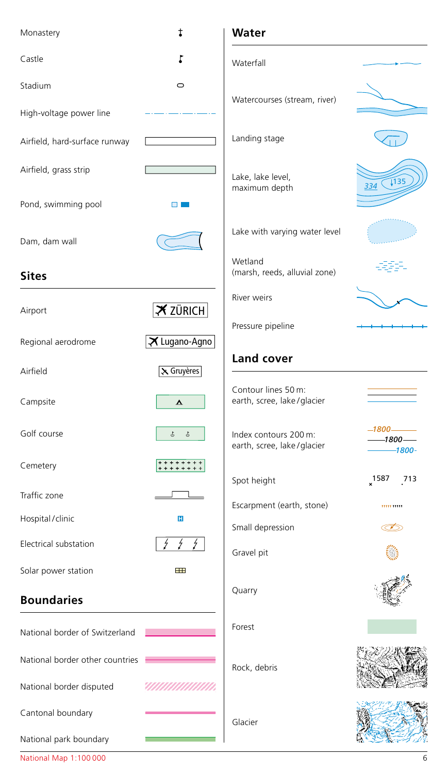| Monastery                                                   | t                              | Water                                               |                                 |
|-------------------------------------------------------------|--------------------------------|-----------------------------------------------------|---------------------------------|
| Castle                                                      |                                | Waterfall                                           |                                 |
| Stadium                                                     | $\circ$                        | Watercourses (stream, river)                        |                                 |
| High-voltage power line                                     |                                |                                                     |                                 |
| Airfield, hard-surface runway                               |                                | Landing stage                                       |                                 |
| Airfield, grass strip                                       |                                | Lake, lake level,<br>maximum depth                  | $\sqrt{135}$<br>334             |
| Pond, swimming pool                                         | n F                            |                                                     |                                 |
| Dam, dam wall                                               |                                | Lake with varying water level                       |                                 |
| <b>Sites</b>                                                |                                | Wetland<br>(marsh, reeds, alluvial zone)            |                                 |
| Airport                                                     | $\overline{\mathbf{X}}$ ZÜRICH | <b>River weirs</b>                                  |                                 |
|                                                             |                                | Pressure pipeline                                   |                                 |
| Regional aerodrome                                          | X Lugano-Agno                  | Land cover                                          |                                 |
| Airfield                                                    | X Gruyères                     |                                                     |                                 |
| Campsite                                                    | $\blacktriangle$               | Contour lines 50 m:<br>earth, scree, lake/glacier   |                                 |
| Golf course                                                 | J,<br>$\mathbb{S}$             | Index contours 200 m:<br>earth, scree, lake/glacier | $-1800-$<br>-1800 —<br>$-1800-$ |
| Cemetery                                                    | ******<br>******               | Spot height                                         | $x^{1587}$<br>713               |
| Traffic zone                                                | $\Box$                         |                                                     |                                 |
| Hospital / clinic                                           | H                              | Escarpment (earth, stone)                           | 11111111111                     |
| Electrical substation                                       | ź<br>ź                         | Small depression                                    |                                 |
|                                                             |                                | Gravel pit                                          |                                 |
| Solar power station                                         | $\mathbf{H}$                   |                                                     |                                 |
| <b>Boundaries</b>                                           |                                | Quarry                                              |                                 |
| National border of Switzerland                              |                                | Forest                                              |                                 |
| National border other countries<br>National border disputed | <u>UMMUMUMI</u>                | Rock, debris                                        |                                 |
|                                                             |                                |                                                     |                                 |
| Cantonal boundary                                           |                                | Glacier                                             |                                 |
| National park boundary                                      |                                |                                                     |                                 |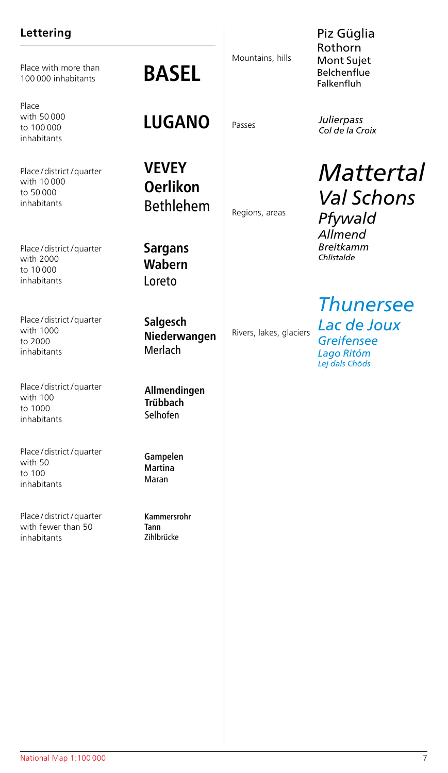### **Lettering**

Place with more than<br>100,000 inhabitants

Place with 50 000 to 100 000 inhabitants

Place / district / quarter with 10 000 to 50 000 inhabitants

Place / district / quarter with 2000 to 10 000 inhabitants

Place / district / quarter with 1000 to 2000 inhabitants

Place / district / quarter with 100 to 1000 inhabitants

Place / district / quarter with 50 to 100 inhabitants

Place / district / quarter with fewer than 50 inhabitants

### **BASEL**

### **LUGANO**

**VEVEY Oerlikon** Bethlehem

**Sargans Wabern** Loreto

**Salgesch Niederwangen** Merlach

**Allmendingen Trübbach** Selhofen

Gampelen Martina Maran

Kammersrohr Tann Zihlbrücke

Mountains, hills

Regions, areas

Rivers, lakes, glaciers

Piz Güglia Rothorn Mont Sujet **Belchenflue** Falkenfluh

Passes *Julierpass Col de la Croix*

> *Mattertal Val Schons Pfywald Allmend Breitkamm Chlistalde*

*Thunersee Lac de Joux Greifensee Lago Ritóm Lej dals Chöds*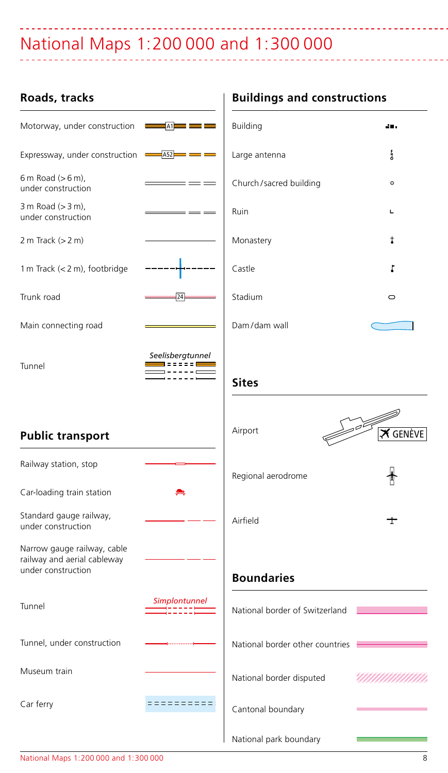### National Maps 1: 200 000 and 1: 300 000

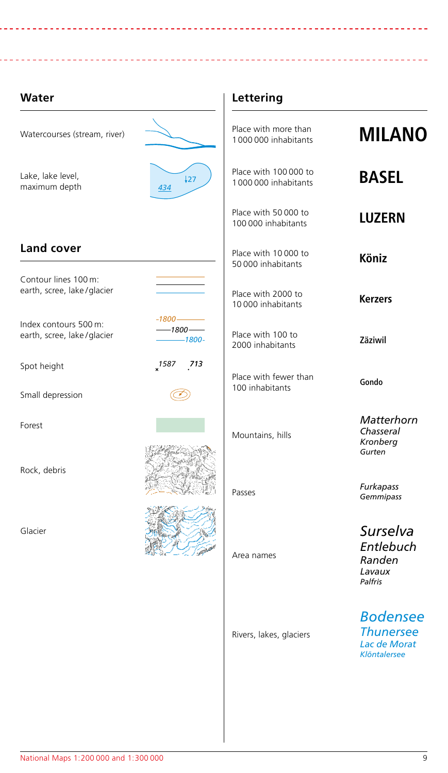### **Water**

----------------------------

| Watercourses (stream, river)                        |                                   | Place with more than<br>1000 000 inhabitants  | <b>MILANO</b>                                                       |
|-----------------------------------------------------|-----------------------------------|-----------------------------------------------|---------------------------------------------------------------------|
| Lake, lake level,<br>maximum depth                  | $\frac{1}{27}$<br>434             | Place with 100 000 to<br>1000 000 inhabitants | <b>BASEL</b>                                                        |
|                                                     |                                   | Place with 50 000 to<br>100 000 inhabitants   | <b>LUZERN</b>                                                       |
| Land cover                                          |                                   | Place with 10 000 to<br>50 000 inhabitants    | Köniz                                                               |
| Contour lines 100 m:<br>earth, scree, lake/glacier  |                                   | Place with 2000 to<br>10 000 inhabitants      | <b>Kerzers</b>                                                      |
| Index contours 500 m:<br>earth, scree, lake/glacier | $-1800$ —<br>$-1800-$<br>$-1800-$ | Place with 100 to<br>2000 inhabitants         | Zäziwil                                                             |
| Spot height<br>Small depression                     | 1587<br>713                       | Place with fewer than<br>100 inhabitants      | Gondo                                                               |
| Forest                                              |                                   | Mountains, hills                              | Matterhorn<br>Chasseral<br>Kronberg<br>Gurten                       |
| Rock, debris                                        |                                   | Passes                                        | Furkapass<br>Gemmipass                                              |
| Glacier                                             |                                   | Area names                                    | Surselva<br>Entlebuch<br>Randen<br>Lavaux<br>Palfris                |
|                                                     |                                   | Rivers, lakes, glaciers                       | <b>Bodensee</b><br><b>Thunersee</b><br>Lac de Morat<br>Klöntalersee |
|                                                     |                                   |                                               |                                                                     |

**Lettering**

----------------------------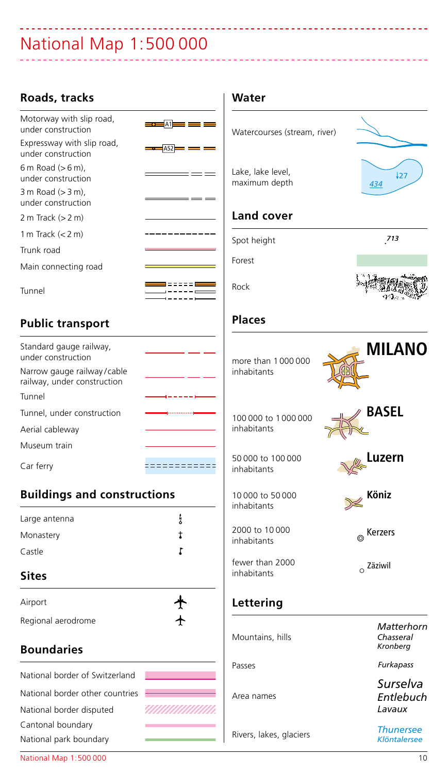# National Map 1:500 000

| Roads, tracks                                             |                                                                                                                                                                                                                                      | Water                              |                                     |
|-----------------------------------------------------------|--------------------------------------------------------------------------------------------------------------------------------------------------------------------------------------------------------------------------------------|------------------------------------|-------------------------------------|
| Motorway with slip road,<br>under construction            | $\frac{1}{2}$ $\frac{1}{2}$ $\frac{1}{2}$ $\frac{1}{2}$ $\frac{1}{2}$ $\frac{1}{2}$ $\frac{1}{2}$ $\frac{1}{2}$ $\frac{1}{2}$ $\frac{1}{2}$                                                                                          | Watercourses (stream, river)       |                                     |
| Expressway with slip road,<br>under construction          | $-452$ $-$<br>- -                                                                                                                                                                                                                    |                                    |                                     |
| $6m$ Road ( $> 6m$ ),<br>under construction               | <u>the contract of the contract of the contract of the contract of the contract of the contract of the contract of the contract of the contract of the contract of the contract of the contract of the contract of the contract </u> | Lake, lake level,<br>maximum depth | $\frac{1}{27}$<br>434               |
| 3 m Road (> 3 m),<br>under construction                   | ---                                                                                                                                                                                                                                  |                                    |                                     |
| 2 m Track (> 2 m)                                         |                                                                                                                                                                                                                                      | <b>Land cover</b>                  |                                     |
| 1 m Track $(< 2 m)$                                       | -------                                                                                                                                                                                                                              | Spot height                        | 713                                 |
| Trunk road                                                |                                                                                                                                                                                                                                      |                                    |                                     |
| Main connecting road                                      |                                                                                                                                                                                                                                      | Forest                             |                                     |
| Tunnel                                                    | 8 = = = = = <b>=</b><br>. – – – <del>–</del>                                                                                                                                                                                         | Rock                               |                                     |
| <b>Public transport</b>                                   |                                                                                                                                                                                                                                      | <b>Places</b>                      |                                     |
| Standard gauge railway,<br>under construction             |                                                                                                                                                                                                                                      | more than 1000000                  | <b>MILANO</b>                       |
| Narrow gauge railway/cable<br>railway, under construction |                                                                                                                                                                                                                                      | inhabitants                        |                                     |
| Tunnel                                                    |                                                                                                                                                                                                                                      |                                    |                                     |
| Tunnel, under construction                                |                                                                                                                                                                                                                                      | 100 000 to 1000 000                | <b>BASEL</b>                        |
| Aerial cableway                                           |                                                                                                                                                                                                                                      | inhabitants                        |                                     |
| Museum train                                              |                                                                                                                                                                                                                                      |                                    |                                     |
| Car ferry                                                 | ============                                                                                                                                                                                                                         | 50 000 to 100 000<br>inhabitants   | Luzern                              |
| <b>Buildings and constructions</b>                        |                                                                                                                                                                                                                                      | 10 000 to 50 000<br>inhabitants    | Köniz                               |
| Large antenna                                             | ł                                                                                                                                                                                                                                    |                                    |                                     |
| Monastery                                                 | t                                                                                                                                                                                                                                    | 2000 to 10 000<br>inhabitants      | ® Kerzers                           |
| Castle                                                    | ŗ                                                                                                                                                                                                                                    | fewer than 2000                    |                                     |
| Sites                                                     |                                                                                                                                                                                                                                      | inhabitants                        | O Zäziwil                           |
| Airport                                                   |                                                                                                                                                                                                                                      | Lettering                          |                                     |
| Regional aerodrome                                        |                                                                                                                                                                                                                                      |                                    |                                     |
| <b>Boundaries</b>                                         |                                                                                                                                                                                                                                      | Mountains, hills                   | Matterhorn<br>Chasseral<br>Kronberg |
|                                                           |                                                                                                                                                                                                                                      | Passes                             | Furkapass                           |
| National border of Switzerland                            |                                                                                                                                                                                                                                      |                                    | Surselva                            |
| National border other countries                           |                                                                                                                                                                                                                                      | Area names                         | Entlebuch                           |
| National border disputed                                  | <i>UMMUMI</i>                                                                                                                                                                                                                        |                                    | Lavaux                              |
| Cantonal boundary                                         |                                                                                                                                                                                                                                      |                                    | <b>Thunersee</b>                    |
| National park boundary                                    |                                                                                                                                                                                                                                      | Rivers, lakes, glaciers            | <b>Klöntalersee</b>                 |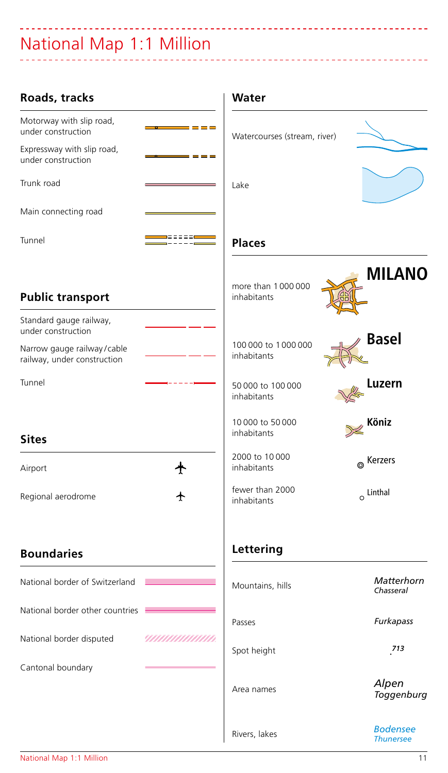## National Map 1:1 Million

| Roads, tracks                                                                                              | Water                                                 |
|------------------------------------------------------------------------------------------------------------|-------------------------------------------------------|
| Motorway with slip road,<br>----<br>under construction                                                     | Watercourses (stream, river)                          |
| Expressway with slip road,<br>$= - -$<br>under construction                                                |                                                       |
| Trunk road                                                                                                 | Lake                                                  |
| Main connecting road                                                                                       |                                                       |
| 100000 <b>0</b><br>Tunnel                                                                                  | <b>Places</b>                                         |
| <b>Public transport</b>                                                                                    | <b>MILANO</b><br>more than 1000000<br>inhabitants     |
| Standard gauge railway,<br>under construction<br>Narrow gauge railway/cable<br>railway, under construction | <b>Basel</b><br>100 000 to 1000 000<br>inhabitants    |
| Tunnel                                                                                                     | Luzern<br>50 000 to 100 000<br>inhabitants            |
| <b>Sites</b>                                                                                               | 10 000 to 50 000<br>Köniz<br>inhabitants              |
| ╇<br>Airport                                                                                               | 2000 to 10 000<br><sup>®</sup> Kerzers<br>inhabitants |
| Regional aerodrome<br>╇                                                                                    | fewer than 2000<br>$\circ$ Linthal<br>inhabitants     |
| <b>Boundaries</b>                                                                                          | Lettering                                             |
| National border of Switzerland                                                                             | Matterhorn<br>Mountains, hills<br>Chasseral           |
| National border other countries                                                                            | Furkapass<br>Passes                                   |
| National border disputed<br>,,,,,,,,,,,,,,,,,,,,                                                           | 713<br>Spot height                                    |
| Cantonal boundary                                                                                          | Alpen<br>Area names<br>Toggenburg                     |
|                                                                                                            | <b>Bodensee</b><br>Rivers, lakes<br><b>Thunersee</b>  |